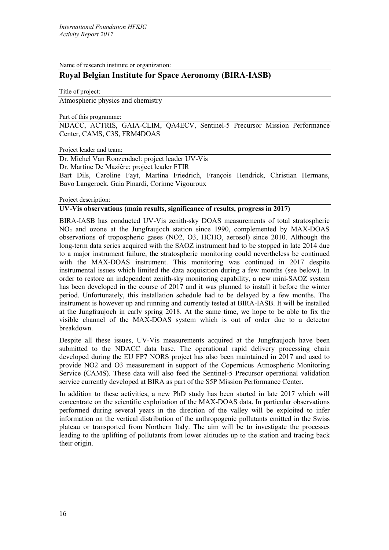Name of research institute or organization:

# **Royal Belgian Institute for Space Aeronomy (BIRA-IASB)**

Title of project: Atmospheric physics and chemistry

Part of this programme:

NDACC, ACTRIS, GAIA-CLIM, QA4ECV, Sentinel-5 Precursor Mission Performance Center, CAMS, C3S, FRM4DOAS

Project leader and team:

Dr. Michel Van Roozendael: project leader UV-Vis

Dr. Martine De Mazière: project leader FTIR

Bart Dils, Caroline Fayt, Martina Friedrich, François Hendrick, Christian Hermans, Bavo Langerock, Gaia Pinardi, Corinne Vigouroux

Project description:

### **UV-Vis observations (main results, significance of results, progress in 2017)**

BIRA-IASB has conducted UV-Vis zenith-sky DOAS measurements of total stratospheric NO2 and ozone at the Jungfraujoch station since 1990, complemented by MAX-DOAS observations of tropospheric gases (NO2, O3, HCHO, aerosol) since 2010. Although the long-term data series acquired with the SAOZ instrument had to be stopped in late 2014 due to a major instrument failure, the stratospheric monitoring could nevertheless be continued with the MAX-DOAS instrument. This monitoring was continued in 2017 despite instrumental issues which limited the data acquisition during a few months (see below). In order to restore an independent zenith-sky monitoring capability, a new mini-SAOZ system has been developed in the course of 2017 and it was planned to install it before the winter period. Unfortunately, this installation schedule had to be delayed by a few months. The instrument is however up and running and currently tested at BIRA-IASB. It will be installed at the Jungfraujoch in early spring 2018. At the same time, we hope to be able to fix the visible channel of the MAX-DOAS system which is out of order due to a detector breakdown.

Despite all these issues, UV-Vis measurements acquired at the Jungfraujoch have been submitted to the NDACC data base. The operational rapid delivery processing chain developed during the EU FP7 NORS project has also been maintained in 2017 and used to provide NO2 and O3 measurement in support of the Copernicus Atmospheric Monitoring Service (CAMS). These data will also feed the Sentinel-5 Precursor operational validation service currently developed at BIRA as part of the S5P Mission Performance Center.

In addition to these activities, a new PhD study has been started in late 2017 which will concentrate on the scientific exploitation of the MAX-DOAS data. In particular observations performed during several years in the direction of the valley will be exploited to infer information on the vertical distribution of the anthropogenic pollutants emitted in the Swiss plateau or transported from Northern Italy. The aim will be to investigate the processes leading to the uplifting of pollutants from lower altitudes up to the station and tracing back their origin.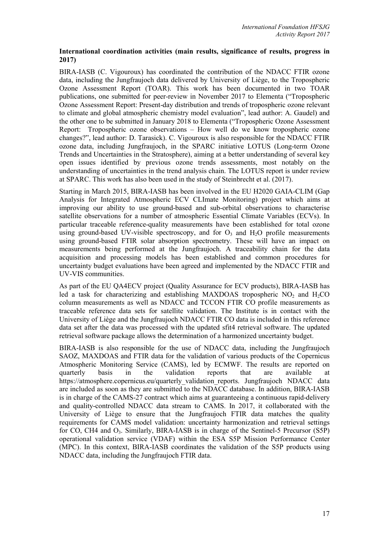## **International coordination activities (main results, significance of results, progress in 2017)**

BIRA-IASB (C. Vigouroux) has coordinated the contribution of the NDACC FTIR ozone data, including the Jungfraujoch data delivered by University of Liège, to the Tropospheric Ozone Assessment Report (TOAR). This work has been documented in two TOAR publications, one submitted for peer-review in November 2017 to Elementa ("Tropospheric Ozone Assessment Report: Present-day distribution and trends of tropospheric ozone relevant to climate and global atmospheric chemistry model evaluation", lead author: A. Gaudel) and the other one to be submitted in January 2018 to Elementa ("Tropospheric Ozone Assessment Report: Tropospheric ozone observations – How well do we know tropospheric ozone changes?", lead author: D. Tarasick). C. Vigouroux is also responsible for the NDACC FTIR ozone data, including Jungfraujoch, in the SPARC initiative LOTUS (Long-term Ozone Trends and Uncertainties in the Stratosphere), aiming at a better understanding of several key open issues identified by previous ozone trends assessments, most notably on the understanding of uncertainties in the trend analysis chain. The LOTUS report is under review at SPARC. This work has also been used in the study of Steinbrecht et al. (2017).

Starting in March 2015, BIRA-IASB has been involved in the EU H2020 GAIA-CLIM (Gap Analysis for Integrated Atmospheric ECV CLImate Monitoring) project which aims at improving our ability to use ground-based and sub-orbital observations to characterise satellite observations for a number of atmospheric Essential Climate Variables (ECVs). In particular traceable reference-quality measurements have been established for total ozone using ground-based UV-visible spectroscopy, and for  $O<sub>3</sub>$  and  $H<sub>2</sub>O$  profile measurements using ground-based FTIR solar absorption spectrometry. These will have an impact on measurements being performed at the Jungfraujoch. A traceability chain for the data acquisition and processing models has been established and common procedures for uncertainty budget evaluations have been agreed and implemented by the NDACC FTIR and UV-VIS communities.

As part of the EU QA4ECV project (Quality Assurance for ECV products), BIRA-IASB has led a task for characterizing and establishing MAXDOAS tropospheric  $NO<sub>2</sub>$  and  $H<sub>2</sub>CO$ column measurements as well as NDACC and TCCON FTIR CO profile measurements as traceable reference data sets for satellite validation. The Institute is in contact with the University of Liège and the Jungfraujoch NDACC FTIR CO data is included in this reference data set after the data was processed with the updated sfit4 retrieval software. The updated retrieval software package allows the determination of a harmonized uncertainty budget.

BIRA-IASB is also responsible for the use of NDACC data, including the Jungfraujoch SAOZ, MAXDOAS and FTIR data for the validation of various products of the Copernicus Atmospheric Monitoring Service (CAMS), led by ECMWF. The results are reported on quarterly basis in the validation reports that are available at https://atmosphere.copernicus.eu/quarterly\_validation\_reports. Jungfraujoch NDACC data are included as soon as they are submitted to the NDACC database. In addition, BIRA-IASB is in charge of the CAMS-27 contract which aims at guaranteeing a continuous rapid-delivery and quality-controlled NDACC data stream to CAMS. In 2017, it collaborated with the University of Liège to ensure that the Jungfraujoch FTIR data matches the quality requirements for CAMS model validation: uncertainty harmonization and retrieval settings for CO, CH4 and  $O_3$ . Similarly, BIRA-IASB is in charge of the Sentinel-5 Precursor (S5P) operational validation service (VDAF) within the ESA S5P Mission Performance Center (MPC). In this context, BIRA-IASB coordinates the validation of the S5P products using NDACC data, including the Jungfraujoch FTIR data.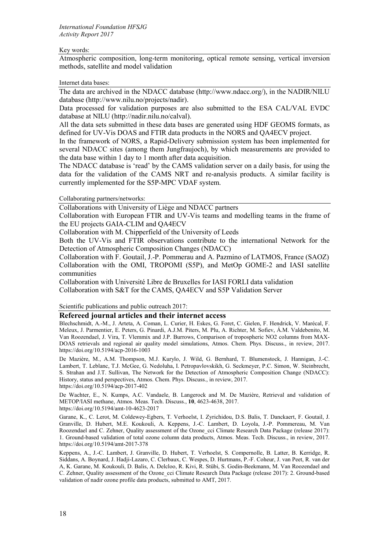### Key words:

Atmospheric composition, long-term monitoring, optical remote sensing, vertical inversion methods, satellite and model validation

### Internet data bases:

The data are archived in the NDACC database (http://www.ndacc.org/), in the NADIR/NILU database (http://www.nilu.no/projects/nadir).

Data processed for validation purposes are also submitted to the ESA CAL/VAL EVDC database at NILU (http://nadir.nilu.no/calval).

All the data sets submitted in these data bases are generated using HDF GEOMS formats, as defined for UV-Vis DOAS and FTIR data products in the NORS and QA4ECV project.

In the framework of NORS, a Rapid-Delivery submission system has been implemented for several NDACC sites (among them Jungfraujoch), by which measurements are provided to the data base within 1 day to 1 month after data acquisition.

The NDACC database is 'read' by the CAMS validation server on a daily basis, for using the data for the validation of the CAMS NRT and re-analysis products. A similar facility is currently implemented for the S5P-MPC VDAF system.

Collaborating partners/networks:

Collaborations with University of Liège and NDACC partners

Collaboration with European FTIR and UV-Vis teams and modelling teams in the frame of the EU projects GAIA-CLIM and QA4ECV

Collaboration with M. Chipperfield of the University of Leeds

Both the UV-Vis and FTIR observations contribute to the international Network for the Detection of Atmospheric Composition Changes (NDACC)

Collaboration with F. Goutail, J.-P. Pommerau and A. Pazmino of LATMOS, France (SAOZ) Collaboration with the OMI, TROPOMI (S5P), and MetOp GOME-2 and IASI satellite communities

Collaboration with Université Libre de Bruxelles for IASI FORLI data validation Collaboration with S&T for the CAMS, QA4ECV and S5P Validation Server

Scientific publications and public outreach 2017:

### **Refereed journal articles and their internet access**

Blechschmidt, A.-M., J. Arteta, A. Coman, L. Curier, H. Eskes, G. Foret, C. Gielen, F. Hendrick, V. Marécal, F. Meleux, J. Parmentier, E. Peters, G. Pinardi, A.J.M. Piters, M. Plu, A. Richter, M. Sofiev, Á.M. Valdebenito, M. Van Roozendael, J. Vira, T. Vlemmix and J.P. Burrows, Comparison of tropospheric NO2 columns from MAX-DOAS retrievals and regional air quality model simulations, Atmos. Chem. Phys. Discuss., in review, 2017. <https://doi.org/10.5194/acp-2016-1003>

De Mazière, M., A.M. Thompson, M.J. Kurylo, J. Wild, G. Bernhard, T. Blumenstock, J. Hannigan, J.-C. Lambert, T. Leblanc, T.J. McGee, G. Nedoluha, I. Petropavlovskikh, G. Seckmeyer, P.C. Simon, W. Steinbrecht, S. Strahan and J.T. Sullivan, The Network for the Detection of Atmospheric Composition Change (NDACC): History, status and perspectives, Atmos. Chem. Phys. Discuss., in review, 2017. <https://doi.org/10.5194/acp-2017-402>

De Wachter, E., N. Kumps, A.C. Vandaele, B. Langerock and M. De Mazière, Retrieval and validation of METOP/IASI methane, Atmos. Meas. Tech. Discuss., **10**, 4623-4638, 2017. https://doi.org/10.5194/amt-10-4623-2017

Garane, K., C. Lerot, M. Coldewey-Egbers, T. Verhoelst, I. Zyrichidou, D.S. Balis, T. Danckaert, F. Goutail, J. Granville, D. Hubert, M.E. Koukouli, A. Keppens, J.-C. Lambert, D. Loyola, J.-P. Pommereau, M. Van Roozendael and C. Zehner, Quality assessment of the Ozone\_cci Climate Research Data Package (release 2017): 1. Ground-based validation of total ozone column data products, Atmos. Meas. Tech. Discuss., in review, 2017. <https://doi.org/10.5194/amt-2017-378>

Keppens, A., J.-C. Lambert, J. Granville, D. Hubert, T. Verhoelst, S. Compernolle, B. Latter, B. Kerridge, R. Siddans, A. Boynard, J. Hadji-Lazaro, C. Clerbaux, C. Wespes, D. Hurtmans, P.-F. Coheur, J. van Peet, R. van der A, K. Garane, M. Koukouli, D. Balis, A. Delcloo, R. Kivi, R. Stübi, S. Godin-Beekmann, M. Van Roozendael and C. Zehner, Quality assessment of the Ozone\_cci Climate Research Data Package (release 2017): 2. Ground-based validation of nadir ozone profile data products, submitted to AMT, 2017.